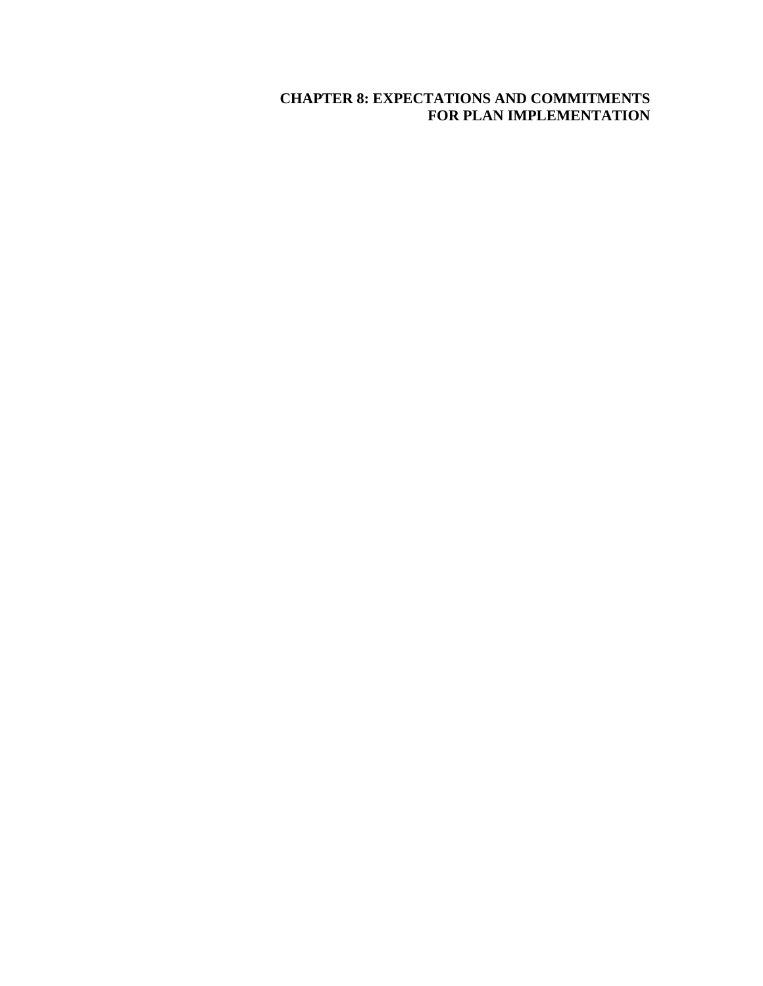# **CHAPTER 8: EXPECTATIONS AND COMMITMENTS FOR PLAN IMPLEMENTATION**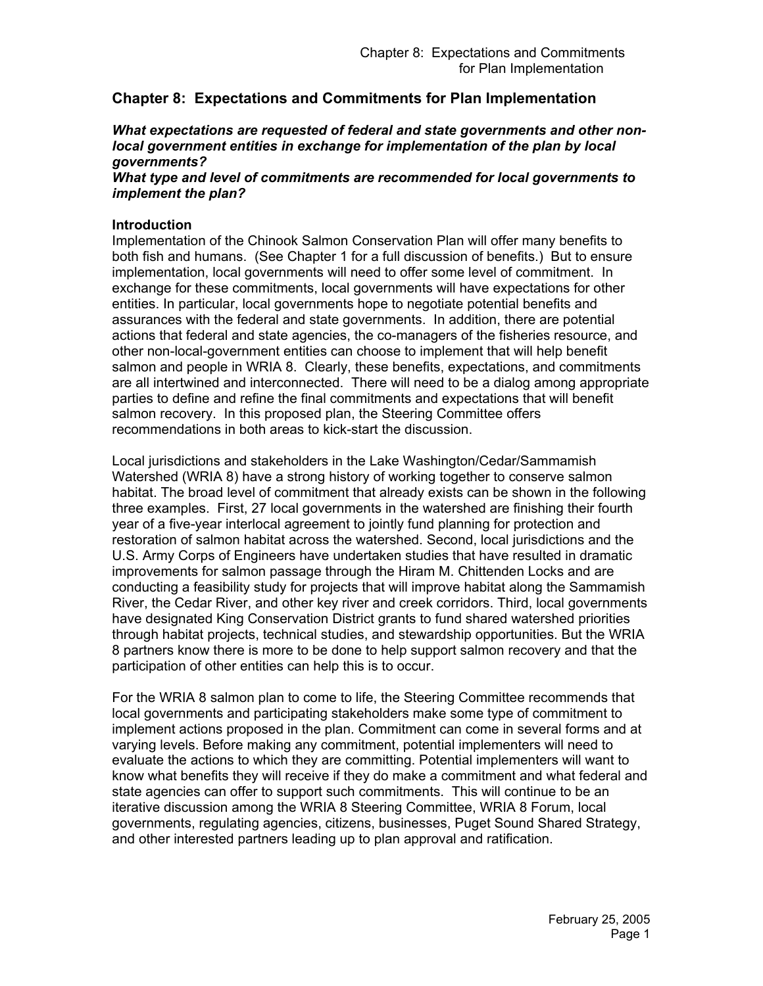# **Chapter 8: Expectations and Commitments for Plan Implementation**

#### *What expectations are requested of federal and state governments and other nonlocal government entities in exchange for implementation of the plan by local governments?*

#### *What type and level of commitments are recommended for local governments to implement the plan?*

### **Introduction**

Implementation of the Chinook Salmon Conservation Plan will offer many benefits to both fish and humans. (See Chapter 1 for a full discussion of benefits.) But to ensure implementation, local governments will need to offer some level of commitment. In exchange for these commitments, local governments will have expectations for other entities. In particular, local governments hope to negotiate potential benefits and assurances with the federal and state governments. In addition, there are potential actions that federal and state agencies, the co-managers of the fisheries resource, and other non-local-government entities can choose to implement that will help benefit salmon and people in WRIA 8. Clearly, these benefits, expectations, and commitments are all intertwined and interconnected. There will need to be a dialog among appropriate parties to define and refine the final commitments and expectations that will benefit salmon recovery. In this proposed plan, the Steering Committee offers recommendations in both areas to kick-start the discussion.

Local jurisdictions and stakeholders in the Lake Washington/Cedar/Sammamish Watershed (WRIA 8) have a strong history of working together to conserve salmon habitat. The broad level of commitment that already exists can be shown in the following three examples. First, 27 local governments in the watershed are finishing their fourth year of a five-year interlocal agreement to jointly fund planning for protection and restoration of salmon habitat across the watershed. Second, local jurisdictions and the U.S. Army Corps of Engineers have undertaken studies that have resulted in dramatic improvements for salmon passage through the Hiram M. Chittenden Locks and are conducting a feasibility study for projects that will improve habitat along the Sammamish River, the Cedar River, and other key river and creek corridors. Third, local governments have designated King Conservation District grants to fund shared watershed priorities through habitat projects, technical studies, and stewardship opportunities. But the WRIA 8 partners know there is more to be done to help support salmon recovery and that the participation of other entities can help this is to occur.

For the WRIA 8 salmon plan to come to life, the Steering Committee recommends that local governments and participating stakeholders make some type of commitment to implement actions proposed in the plan. Commitment can come in several forms and at varying levels. Before making any commitment, potential implementers will need to evaluate the actions to which they are committing. Potential implementers will want to know what benefits they will receive if they do make a commitment and what federal and state agencies can offer to support such commitments. This will continue to be an iterative discussion among the WRIA 8 Steering Committee, WRIA 8 Forum, local governments, regulating agencies, citizens, businesses, Puget Sound Shared Strategy, and other interested partners leading up to plan approval and ratification.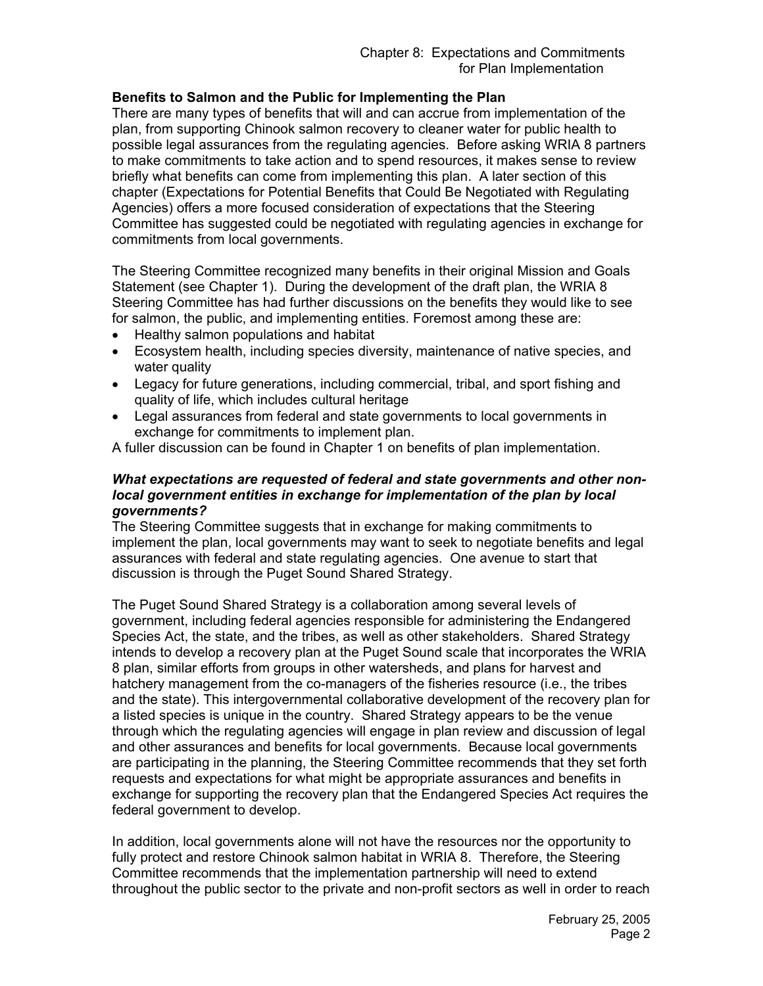### **Benefits to Salmon and the Public for Implementing the Plan**

There are many types of benefits that will and can accrue from implementation of the plan, from supporting Chinook salmon recovery to cleaner water for public health to possible legal assurances from the regulating agencies. Before asking WRIA 8 partners to make commitments to take action and to spend resources, it makes sense to review briefly what benefits can come from implementing this plan. A later section of this chapter (Expectations for Potential Benefits that Could Be Negotiated with Regulating Agencies) offers a more focused consideration of expectations that the Steering Committee has suggested could be negotiated with regulating agencies in exchange for commitments from local governments.

The Steering Committee recognized many benefits in their original Mission and Goals Statement (see Chapter 1). During the development of the draft plan, the WRIA 8 Steering Committee has had further discussions on the benefits they would like to see for salmon, the public, and implementing entities. Foremost among these are:

- Healthy salmon populations and habitat
- Ecosystem health, including species diversity, maintenance of native species, and water quality
- Legacy for future generations, including commercial, tribal, and sport fishing and quality of life, which includes cultural heritage
- Legal assurances from federal and state governments to local governments in exchange for commitments to implement plan.

A fuller discussion can be found in Chapter 1 on benefits of plan implementation.

#### *What expectations are requested of federal and state governments and other nonlocal government entities in exchange for implementation of the plan by local governments?*

The Steering Committee suggests that in exchange for making commitments to implement the plan, local governments may want to seek to negotiate benefits and legal assurances with federal and state regulating agencies. One avenue to start that discussion is through the Puget Sound Shared Strategy.

The Puget Sound Shared Strategy is a collaboration among several levels of government, including federal agencies responsible for administering the Endangered Species Act, the state, and the tribes, as well as other stakeholders. Shared Strategy intends to develop a recovery plan at the Puget Sound scale that incorporates the WRIA 8 plan, similar efforts from groups in other watersheds, and plans for harvest and hatchery management from the co-managers of the fisheries resource (i.e., the tribes and the state). This intergovernmental collaborative development of the recovery plan for a listed species is unique in the country. Shared Strategy appears to be the venue through which the regulating agencies will engage in plan review and discussion of legal and other assurances and benefits for local governments. Because local governments are participating in the planning, the Steering Committee recommends that they set forth requests and expectations for what might be appropriate assurances and benefits in exchange for supporting the recovery plan that the Endangered Species Act requires the federal government to develop.

In addition, local governments alone will not have the resources nor the opportunity to fully protect and restore Chinook salmon habitat in WRIA 8. Therefore, the Steering Committee recommends that the implementation partnership will need to extend throughout the public sector to the private and non-profit sectors as well in order to reach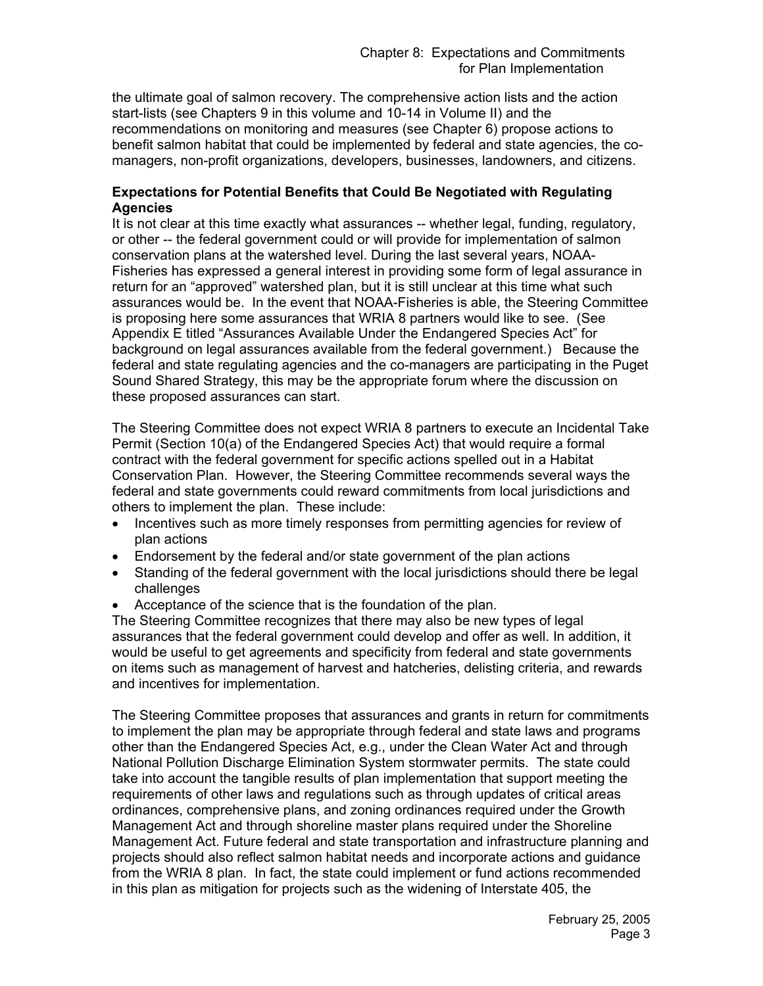the ultimate goal of salmon recovery. The comprehensive action lists and the action start-lists (see Chapters 9 in this volume and 10-14 in Volume II) and the recommendations on monitoring and measures (see Chapter 6) propose actions to benefit salmon habitat that could be implemented by federal and state agencies, the comanagers, non-profit organizations, developers, businesses, landowners, and citizens.

### **Expectations for Potential Benefits that Could Be Negotiated with Regulating Agencies**

It is not clear at this time exactly what assurances -- whether legal, funding, regulatory, or other -- the federal government could or will provide for implementation of salmon conservation plans at the watershed level. During the last several years, NOAA-Fisheries has expressed a general interest in providing some form of legal assurance in return for an "approved" watershed plan, but it is still unclear at this time what such assurances would be. In the event that NOAA-Fisheries is able, the Steering Committee is proposing here some assurances that WRIA 8 partners would like to see. (See Appendix E titled "Assurances Available Under the Endangered Species Act" for background on legal assurances available from the federal government.) Because the federal and state regulating agencies and the co-managers are participating in the Puget Sound Shared Strategy, this may be the appropriate forum where the discussion on these proposed assurances can start.

The Steering Committee does not expect WRIA 8 partners to execute an Incidental Take Permit (Section 10(a) of the Endangered Species Act) that would require a formal contract with the federal government for specific actions spelled out in a Habitat Conservation Plan. However, the Steering Committee recommends several ways the federal and state governments could reward commitments from local jurisdictions and others to implement the plan. These include:

- Incentives such as more timely responses from permitting agencies for review of plan actions
- Endorsement by the federal and/or state government of the plan actions
- Standing of the federal government with the local jurisdictions should there be legal challenges
- Acceptance of the science that is the foundation of the plan.

The Steering Committee recognizes that there may also be new types of legal assurances that the federal government could develop and offer as well. In addition, it would be useful to get agreements and specificity from federal and state governments on items such as management of harvest and hatcheries, delisting criteria, and rewards and incentives for implementation.

The Steering Committee proposes that assurances and grants in return for commitments to implement the plan may be appropriate through federal and state laws and programs other than the Endangered Species Act, e.g., under the Clean Water Act and through National Pollution Discharge Elimination System stormwater permits. The state could take into account the tangible results of plan implementation that support meeting the requirements of other laws and regulations such as through updates of critical areas ordinances, comprehensive plans, and zoning ordinances required under the Growth Management Act and through shoreline master plans required under the Shoreline Management Act. Future federal and state transportation and infrastructure planning and projects should also reflect salmon habitat needs and incorporate actions and guidance from the WRIA 8 plan. In fact, the state could implement or fund actions recommended in this plan as mitigation for projects such as the widening of Interstate 405, the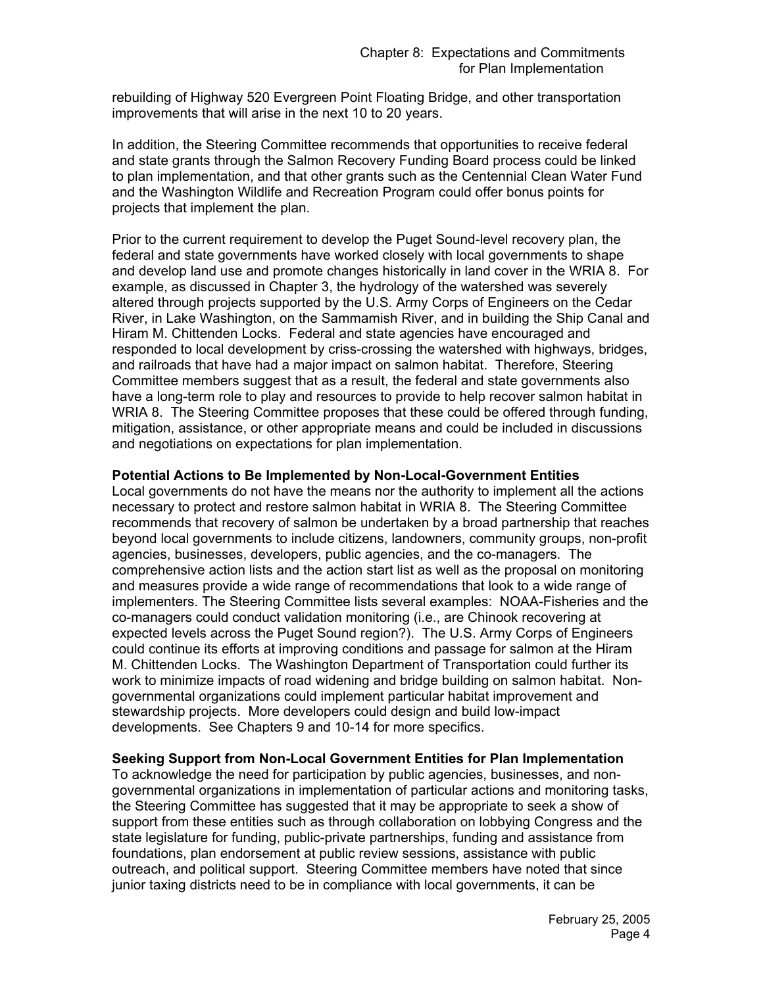rebuilding of Highway 520 Evergreen Point Floating Bridge, and other transportation improvements that will arise in the next 10 to 20 years.

In addition, the Steering Committee recommends that opportunities to receive federal and state grants through the Salmon Recovery Funding Board process could be linked to plan implementation, and that other grants such as the Centennial Clean Water Fund and the Washington Wildlife and Recreation Program could offer bonus points for projects that implement the plan.

Prior to the current requirement to develop the Puget Sound-level recovery plan, the federal and state governments have worked closely with local governments to shape and develop land use and promote changes historically in land cover in the WRIA 8. For example, as discussed in Chapter 3, the hydrology of the watershed was severely altered through projects supported by the U.S. Army Corps of Engineers on the Cedar River, in Lake Washington, on the Sammamish River, and in building the Ship Canal and Hiram M. Chittenden Locks. Federal and state agencies have encouraged and responded to local development by criss-crossing the watershed with highways, bridges, and railroads that have had a major impact on salmon habitat. Therefore, Steering Committee members suggest that as a result, the federal and state governments also have a long-term role to play and resources to provide to help recover salmon habitat in WRIA 8. The Steering Committee proposes that these could be offered through funding, mitigation, assistance, or other appropriate means and could be included in discussions and negotiations on expectations for plan implementation.

#### **Potential Actions to Be Implemented by Non-Local-Government Entities**

Local governments do not have the means nor the authority to implement all the actions necessary to protect and restore salmon habitat in WRIA 8. The Steering Committee recommends that recovery of salmon be undertaken by a broad partnership that reaches beyond local governments to include citizens, landowners, community groups, non-profit agencies, businesses, developers, public agencies, and the co-managers. The comprehensive action lists and the action start list as well as the proposal on monitoring and measures provide a wide range of recommendations that look to a wide range of implementers. The Steering Committee lists several examples: NOAA-Fisheries and the co-managers could conduct validation monitoring (i.e., are Chinook recovering at expected levels across the Puget Sound region?). The U.S. Army Corps of Engineers could continue its efforts at improving conditions and passage for salmon at the Hiram M. Chittenden Locks. The Washington Department of Transportation could further its work to minimize impacts of road widening and bridge building on salmon habitat. Nongovernmental organizations could implement particular habitat improvement and stewardship projects. More developers could design and build low-impact developments. See Chapters 9 and 10-14 for more specifics.

### **Seeking Support from Non-Local Government Entities for Plan Implementation**

To acknowledge the need for participation by public agencies, businesses, and nongovernmental organizations in implementation of particular actions and monitoring tasks, the Steering Committee has suggested that it may be appropriate to seek a show of support from these entities such as through collaboration on lobbying Congress and the state legislature for funding, public-private partnerships, funding and assistance from foundations, plan endorsement at public review sessions, assistance with public outreach, and political support. Steering Committee members have noted that since junior taxing districts need to be in compliance with local governments, it can be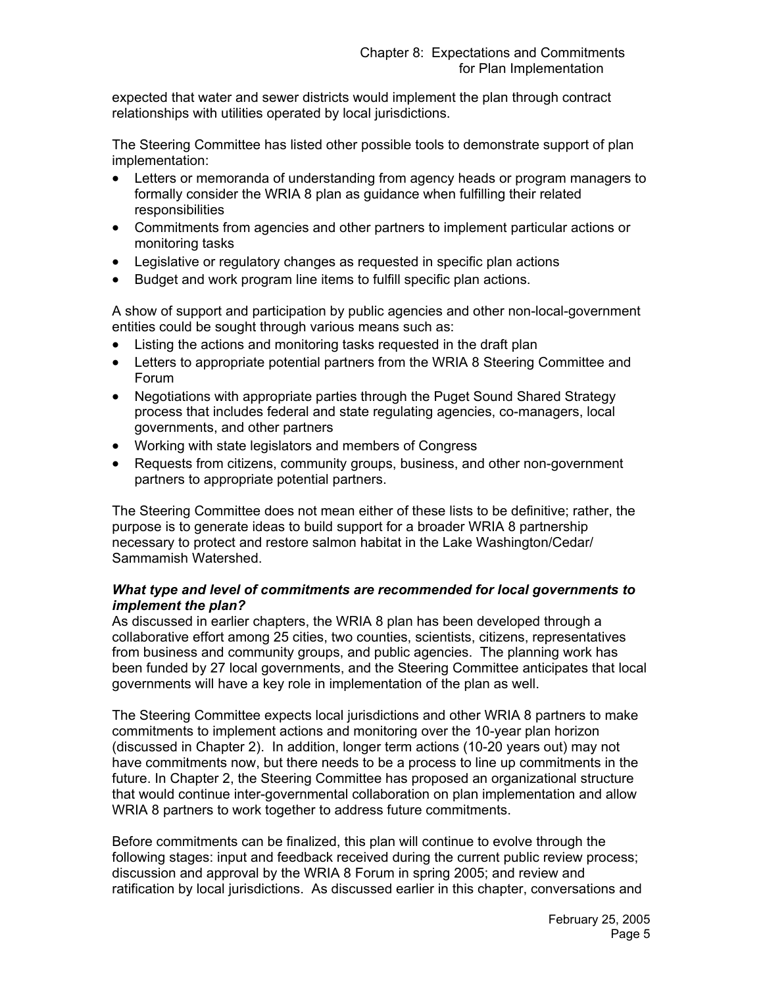expected that water and sewer districts would implement the plan through contract relationships with utilities operated by local jurisdictions.

The Steering Committee has listed other possible tools to demonstrate support of plan implementation:

- Letters or memoranda of understanding from agency heads or program managers to formally consider the WRIA 8 plan as guidance when fulfilling their related responsibilities
- Commitments from agencies and other partners to implement particular actions or monitoring tasks
- Legislative or regulatory changes as requested in specific plan actions
- Budget and work program line items to fulfill specific plan actions.

A show of support and participation by public agencies and other non-local-government entities could be sought through various means such as:

- Listing the actions and monitoring tasks requested in the draft plan
- Letters to appropriate potential partners from the WRIA 8 Steering Committee and Forum
- Negotiations with appropriate parties through the Puget Sound Shared Strategy process that includes federal and state regulating agencies, co-managers, local governments, and other partners
- Working with state legislators and members of Congress
- Requests from citizens, community groups, business, and other non-government partners to appropriate potential partners.

The Steering Committee does not mean either of these lists to be definitive; rather, the purpose is to generate ideas to build support for a broader WRIA 8 partnership necessary to protect and restore salmon habitat in the Lake Washington/Cedar/ Sammamish Watershed.

#### *What type and level of commitments are recommended for local governments to implement the plan?*

As discussed in earlier chapters, the WRIA 8 plan has been developed through a collaborative effort among 25 cities, two counties, scientists, citizens, representatives from business and community groups, and public agencies. The planning work has been funded by 27 local governments, and the Steering Committee anticipates that local governments will have a key role in implementation of the plan as well.

The Steering Committee expects local jurisdictions and other WRIA 8 partners to make commitments to implement actions and monitoring over the 10-year plan horizon (discussed in Chapter 2). In addition, longer term actions (10-20 years out) may not have commitments now, but there needs to be a process to line up commitments in the future. In Chapter 2, the Steering Committee has proposed an organizational structure that would continue inter-governmental collaboration on plan implementation and allow WRIA 8 partners to work together to address future commitments.

Before commitments can be finalized, this plan will continue to evolve through the following stages: input and feedback received during the current public review process; discussion and approval by the WRIA 8 Forum in spring 2005; and review and ratification by local jurisdictions. As discussed earlier in this chapter, conversations and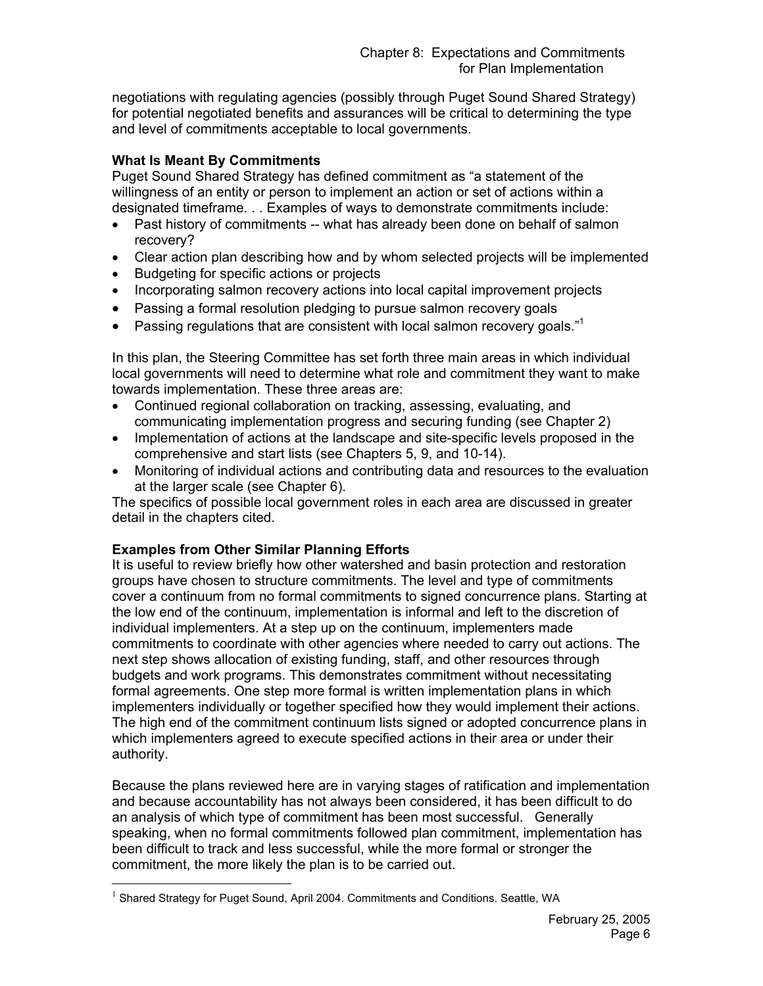negotiations with regulating agencies (possibly through Puget Sound Shared Strategy) for potential negotiated benefits and assurances will be critical to determining the type and level of commitments acceptable to local governments.

### **What Is Meant By Commitments**

Puget Sound Shared Strategy has defined commitment as "a statement of the willingness of an entity or person to implement an action or set of actions within a designated timeframe. . . Examples of ways to demonstrate commitments include:

- Past history of commitments -- what has already been done on behalf of salmon recovery?
- Clear action plan describing how and by whom selected projects will be implemented
- Budgeting for specific actions or projects
- Incorporating salmon recovery actions into local capital improvement projects
- Passing a formal resolution pledging to pursue salmon recovery goals
- Passing regulations that are consistent with local salmon recovery goals. $11$ <sup>1</sup>

In this plan, the Steering Committee has set forth three main areas in which individual local governments will need to determine what role and commitment they want to make towards implementation. These three areas are:

- Continued regional collaboration on tracking, assessing, evaluating, and communicating implementation progress and securing funding (see Chapter 2)
- Implementation of actions at the landscape and site-specific levels proposed in the comprehensive and start lists (see Chapters 5, 9, and 10-14).
- Monitoring of individual actions and contributing data and resources to the evaluation at the larger scale (see Chapter 6).

The specifics of possible local government roles in each area are discussed in greater detail in the chapters cited.

### **Examples from Other Similar Planning Efforts**

 $\overline{a}$ 

It is useful to review briefly how other watershed and basin protection and restoration groups have chosen to structure commitments. The level and type of commitments cover a continuum from no formal commitments to signed concurrence plans. Starting at the low end of the continuum, implementation is informal and left to the discretion of individual implementers. At a step up on the continuum, implementers made commitments to coordinate with other agencies where needed to carry out actions. The next step shows allocation of existing funding, staff, and other resources through budgets and work programs. This demonstrates commitment without necessitating formal agreements. One step more formal is written implementation plans in which implementers individually or together specified how they would implement their actions. The high end of the commitment continuum lists signed or adopted concurrence plans in which implementers agreed to execute specified actions in their area or under their authority.

Because the plans reviewed here are in varying stages of ratification and implementation and because accountability has not always been considered, it has been difficult to do an analysis of which type of commitment has been most successful. Generally speaking, when no formal commitments followed plan commitment, implementation has been difficult to track and less successful, while the more formal or stronger the commitment, the more likely the plan is to be carried out.

 $<sup>1</sup>$  Shared Strategy for Puget Sound, April 2004. Commitments and Conditions. Seattle, WA</sup>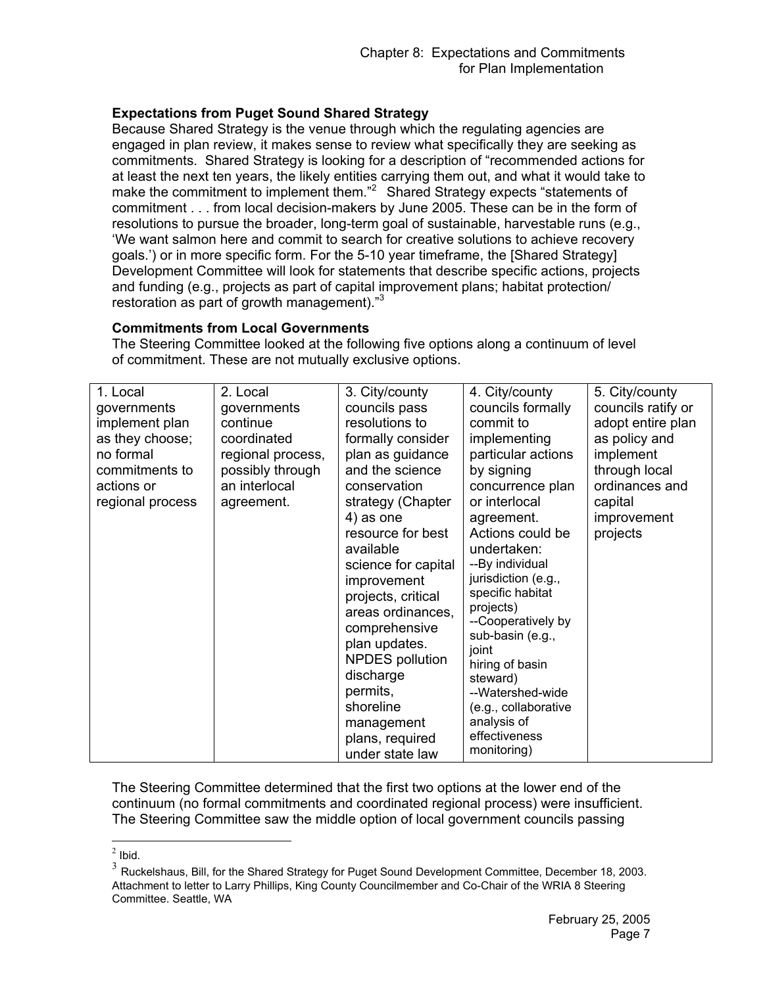# **Expectations from Puget Sound Shared Strategy**

Because Shared Strategy is the venue through which the regulating agencies are engaged in plan review, it makes sense to review what specifically they are seeking as commitments. Shared Strategy is looking for a description of "recommended actions for at least the next ten years, the likely entities carrying them out, and what it would take to make the commitment to implement them.<sup>"2</sup> Shared Strategy expects "statements of commitment . . . from local decision-makers by June 2005. These can be in the form of resolutions to pursue the broader, long-term goal of sustainable, harvestable runs (e.g., 'We want salmon here and commit to search for creative solutions to achieve recovery goals.') or in more specific form. For the 5-10 year timeframe, the [Shared Strategy] Development Committee will look for statements that describe specific actions, projects and funding (e.g., projects as part of capital improvement plans; habitat protection/ restoration as part of growth management)."<sup>3</sup>

### **Commitments from Local Governments**

The Steering Committee looked at the following five options along a continuum of level of commitment. These are not mutually exclusive options.

| 1. Local<br>governments<br>implement plan<br>as they choose;<br>no formal<br>commitments to<br>actions or<br>regional process | 2. Local<br>governments<br>continue<br>coordinated<br>regional process,<br>possibly through<br>an interlocal<br>agreement. | 3. City/county<br>councils pass<br>resolutions to<br>formally consider<br>plan as guidance<br>and the science<br>conservation<br>strategy (Chapter<br>4) as one<br>resource for best<br>available<br>science for capital<br>improvement<br>projects, critical<br>areas ordinances,<br>comprehensive<br>plan updates.<br><b>NPDES</b> pollution<br>discharge<br>permits,<br>shoreline<br>management<br>plans, required<br>under state law | 4. City/county<br>councils formally<br>commit to<br>implementing<br>particular actions<br>by signing<br>concurrence plan<br>or interlocal<br>agreement.<br>Actions could be<br>undertaken:<br>--By individual<br>jurisdiction (e.g.,<br>specific habitat<br>projects)<br>--Cooperatively by<br>sub-basin (e.g.,<br>joint<br>hiring of basin<br>steward)<br>--Watershed-wide<br>(e.g., collaborative<br>analysis of<br>effectiveness<br>monitoring) | 5. City/county<br>councils ratify or<br>adopt entire plan<br>as policy and<br>implement<br>through local<br>ordinances and<br>capital<br>improvement<br>projects |
|-------------------------------------------------------------------------------------------------------------------------------|----------------------------------------------------------------------------------------------------------------------------|------------------------------------------------------------------------------------------------------------------------------------------------------------------------------------------------------------------------------------------------------------------------------------------------------------------------------------------------------------------------------------------------------------------------------------------|----------------------------------------------------------------------------------------------------------------------------------------------------------------------------------------------------------------------------------------------------------------------------------------------------------------------------------------------------------------------------------------------------------------------------------------------------|------------------------------------------------------------------------------------------------------------------------------------------------------------------|
|-------------------------------------------------------------------------------------------------------------------------------|----------------------------------------------------------------------------------------------------------------------------|------------------------------------------------------------------------------------------------------------------------------------------------------------------------------------------------------------------------------------------------------------------------------------------------------------------------------------------------------------------------------------------------------------------------------------------|----------------------------------------------------------------------------------------------------------------------------------------------------------------------------------------------------------------------------------------------------------------------------------------------------------------------------------------------------------------------------------------------------------------------------------------------------|------------------------------------------------------------------------------------------------------------------------------------------------------------------|

The Steering Committee determined that the first two options at the lower end of the continuum (no formal commitments and coordinated regional process) were insufficient. The Steering Committee saw the middle option of local government councils passing

 $\overline{a}$  $<sup>2</sup>$  Ibid.</sup>

 $3$  Ruckelshaus, Bill, for the Shared Strategy for Puget Sound Development Committee, December 18, 2003. Attachment to letter to Larry Phillips, King County Councilmember and Co-Chair of the WRIA 8 Steering Committee. Seattle, WA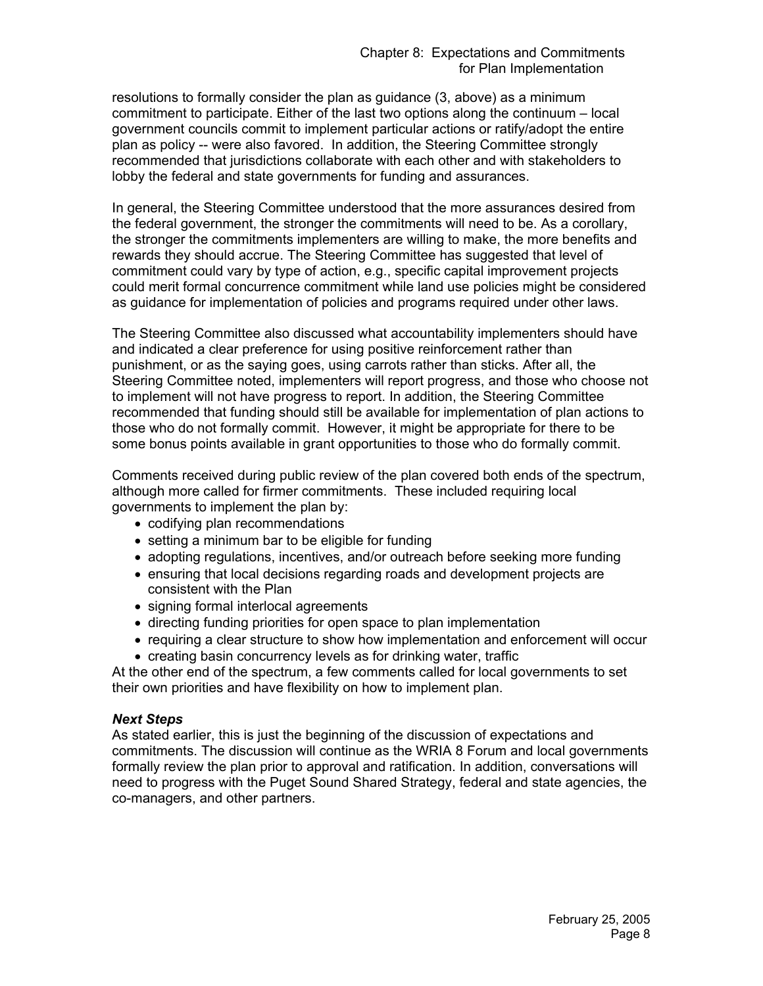resolutions to formally consider the plan as guidance (3, above) as a minimum commitment to participate. Either of the last two options along the continuum – local government councils commit to implement particular actions or ratify/adopt the entire plan as policy -- were also favored. In addition, the Steering Committee strongly recommended that jurisdictions collaborate with each other and with stakeholders to lobby the federal and state governments for funding and assurances.

In general, the Steering Committee understood that the more assurances desired from the federal government, the stronger the commitments will need to be. As a corollary, the stronger the commitments implementers are willing to make, the more benefits and rewards they should accrue. The Steering Committee has suggested that level of commitment could vary by type of action, e.g., specific capital improvement projects could merit formal concurrence commitment while land use policies might be considered as guidance for implementation of policies and programs required under other laws.

The Steering Committee also discussed what accountability implementers should have and indicated a clear preference for using positive reinforcement rather than punishment, or as the saying goes, using carrots rather than sticks. After all, the Steering Committee noted, implementers will report progress, and those who choose not to implement will not have progress to report. In addition, the Steering Committee recommended that funding should still be available for implementation of plan actions to those who do not formally commit. However, it might be appropriate for there to be some bonus points available in grant opportunities to those who do formally commit.

Comments received during public review of the plan covered both ends of the spectrum, although more called for firmer commitments. These included requiring local governments to implement the plan by:

- codifying plan recommendations
- setting a minimum bar to be eligible for funding
- adopting regulations, incentives, and/or outreach before seeking more funding
- ensuring that local decisions regarding roads and development projects are consistent with the Plan
- signing formal interlocal agreements
- directing funding priorities for open space to plan implementation
- requiring a clear structure to show how implementation and enforcement will occur
- creating basin concurrency levels as for drinking water, traffic

At the other end of the spectrum, a few comments called for local governments to set their own priorities and have flexibility on how to implement plan.

#### *Next Steps*

As stated earlier, this is just the beginning of the discussion of expectations and commitments. The discussion will continue as the WRIA 8 Forum and local governments formally review the plan prior to approval and ratification. In addition, conversations will need to progress with the Puget Sound Shared Strategy, federal and state agencies, the co-managers, and other partners.